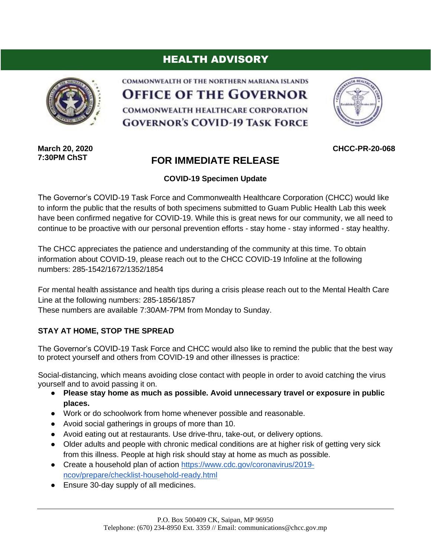## HEALTH ADVISORY



COMMONWEALTH OF THE NORTHERN MARIANA ISLANDS **OFFICE OF THE GOVERNOR** COMMONWEALTH HEALTHCARE CORPORATION **GOVERNOR'S COVID-19 TASK FORCE** 



**CHCC-PR-20-068**

**March 20, 2020 7:30PM ChST**

## **FOR IMMEDIATE RELEASE**

**COVID-19 Specimen Update**

The Governor's COVID-19 Task Force and Commonwealth Healthcare Corporation (CHCC) would like to inform the public that the results of both specimens submitted to Guam Public Health Lab this week have been confirmed negative for COVID-19. While this is great news for our community, we all need to continue to be proactive with our personal prevention efforts - stay home - stay informed - stay healthy.

The CHCC appreciates the patience and understanding of the community at this time. To obtain information about COVID-19, please reach out to the CHCC COVID-19 Infoline at the following numbers: 285-1542/1672/1352/1854

For mental health assistance and health tips during a crisis please reach out to the Mental Health Care Line at the following numbers: 285-1856/1857

These numbers are available 7:30AM-7PM from Monday to Sunday.

## **STAY AT HOME, STOP THE SPREAD**

The Governor's COVID-19 Task Force and CHCC would also like to remind the public that the best way to protect yourself and others from COVID-19 and other illnesses is practice:

Social-distancing, which means avoiding close contact with people in order to avoid catching the virus yourself and to avoid passing it on.

- **Please stay home as much as possible. Avoid unnecessary travel or exposure in public places.**
- Work or do schoolwork from home whenever possible and reasonable.
- Avoid social gatherings in groups of more than 10.
- Avoid eating out at restaurants. Use drive-thru, take-out, or delivery options.
- Older adults and people with chronic medical conditions are at higher risk of getting very sick from this illness. People at high risk should stay at home as much as possible.
- Create a household plan of action [https://www.cdc.gov/coronavirus/2019](https://www.cdc.gov/coronavirus/2019-ncov/prepare/checklist-household-ready.html) [ncov/prepare/checklist-household-ready.html](https://www.cdc.gov/coronavirus/2019-ncov/prepare/checklist-household-ready.html)
- Ensure 30-day supply of all medicines.